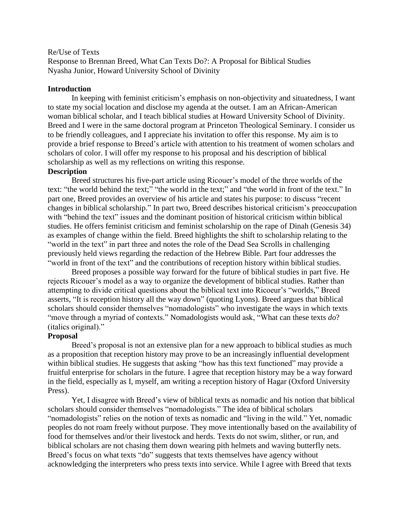### Re/Use of Texts

Response to Brennan Breed, What Can Texts Do?: A Proposal for Biblical Studies Nyasha Junior, Howard University School of Divinity

## **Introduction**

In keeping with feminist criticism's emphasis on non-objectivity and situatedness, I want to state my social location and disclose my agenda at the outset. I am an African-American woman biblical scholar, and I teach biblical studies at Howard University School of Divinity. Breed and I were in the same doctoral program at Princeton Theological Seminary. I consider us to be friendly colleagues, and I appreciate his invitation to offer this response. My aim is to provide a brief response to Breed's article with attention to his treatment of women scholars and scholars of color. I will offer my response to his proposal and his description of biblical scholarship as well as my reflections on writing this response.

## **Description**

Breed structures his five-part article using Ricouer's model of the three worlds of the text: "the world behind the text;" "the world in the text;" and "the world in front of the text." In part one, Breed provides an overview of his article and states his purpose: to discuss "recent changes in biblical scholarship." In part two, Breed describes historical criticism's preoccupation with "behind the text" issues and the dominant position of historical criticism within biblical studies. He offers feminist criticism and feminist scholarship on the rape of Dinah (Genesis 34) as examples of change within the field. Breed highlights the shift to scholarship relating to the "world in the text" in part three and notes the role of the Dead Sea Scrolls in challenging previously held views regarding the redaction of the Hebrew Bible. Part four addresses the "world in front of the text" and the contributions of reception history within biblical studies.

Breed proposes a possible way forward for the future of biblical studies in part five. He rejects Ricouer's model as a way to organize the development of biblical studies. Rather than attempting to divide critical questions about the biblical text into Ricoeur's "worlds," Breed asserts, "It is reception history all the way down" (quoting Lyons). Breed argues that biblical scholars should consider themselves "nomadologists" who investigate the ways in which texts "move through a myriad of contexts." Nomadologists would ask, "What can these texts *do*? (italics original)."

# **Proposal**

Breed's proposal is not an extensive plan for a new approach to biblical studies as much as a proposition that reception history may prove to be an increasingly influential development within biblical studies. He suggests that asking "how has this text functioned" may provide a fruitful enterprise for scholars in the future. I agree that reception history may be a way forward in the field, especially as I, myself, am writing a reception history of Hagar (Oxford University Press).

Yet, I disagree with Breed's view of biblical texts as nomadic and his notion that biblical scholars should consider themselves "nomadologists." The idea of biblical scholars "nomadologists" relies on the notion of texts as nomadic and "living in the wild." Yet, nomadic peoples do not roam freely without purpose. They move intentionally based on the availability of food for themselves and/or their livestock and herds. Texts do not swim, slither, or run, and biblical scholars are not chasing them down wearing pith helmets and waving butterfly nets. Breed's focus on what texts "do" suggests that texts themselves have agency without acknowledging the interpreters who press texts into service. While I agree with Breed that texts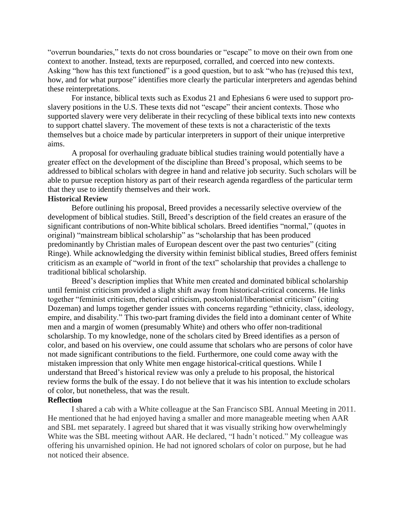"overrun boundaries," texts do not cross boundaries or "escape" to move on their own from one context to another. Instead, texts are repurposed, corralled, and coerced into new contexts. Asking "how has this text functioned" is a good question, but to ask "who has (re)used this text, how, and for what purpose" identifies more clearly the particular interpreters and agendas behind these reinterpretations.

For instance, biblical texts such as Exodus 21 and Ephesians 6 were used to support proslavery positions in the U.S. These texts did not "escape" their ancient contexts. Those who supported slavery were very deliberate in their recycling of these biblical texts into new contexts to support chattel slavery. The movement of these texts is not a characteristic of the texts themselves but a choice made by particular interpreters in support of their unique interpretive aims.

A proposal for overhauling graduate biblical studies training would potentially have a greater effect on the development of the discipline than Breed's proposal, which seems to be addressed to biblical scholars with degree in hand and relative job security. Such scholars will be able to pursue reception history as part of their research agenda regardless of the particular term that they use to identify themselves and their work.

## **Historical Review**

Before outlining his proposal, Breed provides a necessarily selective overview of the development of biblical studies. Still, Breed's description of the field creates an erasure of the significant contributions of non-White biblical scholars. Breed identifies "normal," (quotes in original) "mainstream biblical scholarship" as "scholarship that has been produced predominantly by Christian males of European descent over the past two centuries" (citing Ringe). While acknowledging the diversity within feminist biblical studies, Breed offers feminist criticism as an example of "world in front of the text" scholarship that provides a challenge to traditional biblical scholarship.

Breed's description implies that White men created and dominated biblical scholarship until feminist criticism provided a slight shift away from historical-critical concerns. He links together "feminist criticism, rhetorical criticism, postcolonial/liberationist criticism" (citing Dozeman) and lumps together gender issues with concerns regarding "ethnicity, class, ideology, empire, and disability." This two-part framing divides the field into a dominant center of White men and a margin of women (presumably White) and others who offer non-traditional scholarship. To my knowledge, none of the scholars cited by Breed identifies as a person of color, and based on his overview, one could assume that scholars who are persons of color have not made significant contributions to the field. Furthermore, one could come away with the mistaken impression that only White men engage historical-critical questions. While I understand that Breed's historical review was only a prelude to his proposal, the historical review forms the bulk of the essay. I do not believe that it was his intention to exclude scholars of color, but nonetheless, that was the result.

#### **Reflection**

I shared a cab with a White colleague at the San Francisco SBL Annual Meeting in 2011. He mentioned that he had enjoyed having a smaller and more manageable meeting when AAR and SBL met separately. I agreed but shared that it was visually striking how overwhelmingly White was the SBL meeting without AAR. He declared, "I hadn't noticed." My colleague was offering his unvarnished opinion. He had not ignored scholars of color on purpose, but he had not noticed their absence.